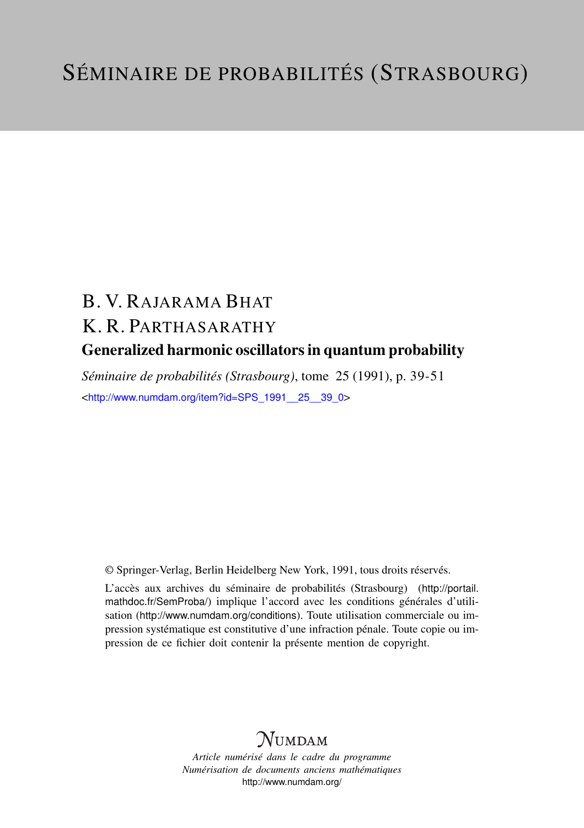# B. V. RAJARAMA BHAT K. R. PARTHASARATHY Generalized harmonic oscillators in quantum probability

*Séminaire de probabilités (Strasbourg)*, tome 25 (1991), p. 39-51 <[http://www.numdam.org/item?id=SPS\\_1991\\_\\_25\\_\\_39\\_0](http://www.numdam.org/item?id=SPS_1991__25__39_0)>

© Springer-Verlag, Berlin Heidelberg New York, 1991, tous droits réservés.

L'accès aux archives du séminaire de probabilités (Strasbourg) ([http://portail.](http://portail.mathdoc.fr/SemProba/) [mathdoc.fr/SemProba/](http://portail.mathdoc.fr/SemProba/)) implique l'accord avec les conditions générales d'utilisation (<http://www.numdam.org/conditions>). Toute utilisation commerciale ou impression systématique est constitutive d'une infraction pénale. Toute copie ou impression de ce fichier doit contenir la présente mention de copyright.

## **NUMDAM**

*Article numérisé dans le cadre du programme Numérisation de documents anciens mathématiques* <http://www.numdam.org/>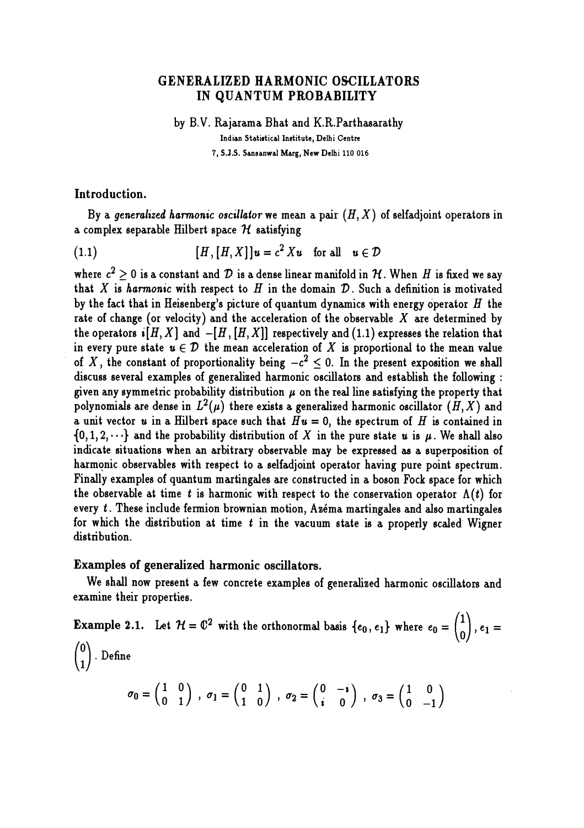### GENERALIZED HARMONIC OSCILLATORS IN QUANTUM PROBABILITY

by B.V. Rajarama Bhat and K.R.Parthasarathy Indian Statistical Institute, Delhi Centre 7, S.J.S. Sansanwal Marg, New Delhi 110 016

Introduction.

By a generalized harmonic oscillator we mean a pair  $(H, X)$  of selfadjoint operators in a complex separable Hilbert space  $H$  satisfying

(1.1)  $[H, [H, X]]u = c^2 X u$  for all  $u \in \mathcal{D}$ 

where  $c^2 \geq 0$  is a constant and  $\mathcal D$  is a dense linear manifold in  $\mathcal H$ . When H is fixed we say that X is harmonic with respect to  $H$  in the domain  $D$ . Such a definition is motivated by the fact that in Heisenberg's picture of quantum dynamics with energy operator  $H$  the rate of change (or velocity) and the acceleration of the observable  $X$  are determined by the operators  $\mathbf{i}[H, X]$  and  $-[H, [H, X]]$  respectively and (1.1) expresses the relation that in every pure state  $u \in \mathcal{D}$  the mean acceleration of X is proportional to the mean value of X, the constant of proportionality being  $-c^2 \leq 0$ . In the present exposition we shall discuss several examples of generalized harmonic oscillators and establish the following : : given any symmetric probability distribution  $\mu$  on the real line satisfying the property that polynomials are dense in  $L^{2}(\mu)$  there exists a generalized harmonic oscillator  $(H, X)$  and a unit vector u in a Hilbert space such that  $Hu = 0$ , the spectrum of H is contained in  $\{0,1,2,\dots\}$  and the probability distribution of X in the pure state u is  $\mu$ . We shall also indicate situations when an arbitrary observable may be expressed as a superposition of harmonic observables with respect to a selfadjoint operator having pure point spectrum. Finally examples of quantum martingales are constructed in a boson Fock space for which the observable at time t is harmonic with respect to the conservation operator  $\Lambda(t)$  for every  $t$ . These include fermion brownian motion, Azéma martingales and also martingales for which the distribution at time t in the vacuum state is a properly scaled' Wigner distribution.

#### Examples of generalized harmonic oscillators. ,

We shall now present a few concrete examples of generalized harmonic oscillators and examine their properties.

**Example 2.1.** Let  $H = \mathbb{C}^2$  with the orthonormal basis  $\{e_0, e_1\}$  where  $e_0 = \begin{pmatrix} 1 \\ 0 \end{pmatrix}$ ,  $e_1 =$  $\binom{0}{1}$ . Define  $\sigma_0 = \begin{pmatrix} 1 & 0 \\ 0 & 1 \end{pmatrix}$ ,  $\sigma_1 = \begin{pmatrix} 0 & 1 \\ 1 & 0 \end{pmatrix}$ ,  $\sigma_2 = \begin{pmatrix} 0 & -i \\ i & 0 \end{pmatrix}$ ,  $\sigma_3 = \begin{pmatrix} 1 & 0 \\ 0 & -1 \end{pmatrix}$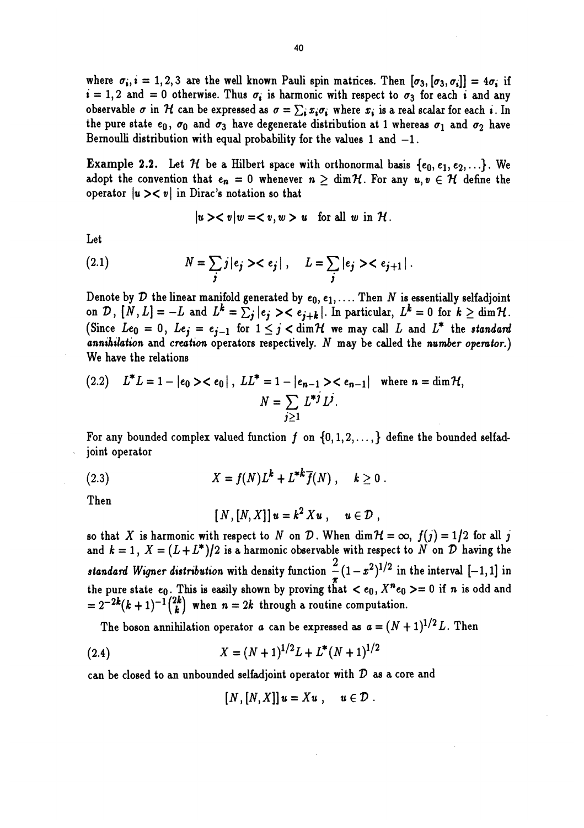where  $\sigma_i$ ,  $i = 1, 2, 3$  are the well known Pauli spin matrices. Then  $[\sigma_3, [\sigma_3, \sigma_i]] = 4\sigma_i$  if  $i = 1, 2$  and = 0 otherwise. Thus  $\sigma_i$  is harmonic with respect to  $\sigma_3$  for each i and any observable  $\sigma$  in H can be expressed as  $\sigma = \sum_i x_i \sigma_i$ , where  $x_i$  is a real scalar for each i. In the pure state  $e_0$ ,  $\sigma_0$  and  $\sigma_3$  have degenerate distribution at 1 whereas  $\sigma_1$  and  $\sigma_2$  have Bernoulli distribution with equal probability for the values  $1$  and  $-1$ .

**Example 2.2.** Let H be a Hilbert space with orthonormal basis  $\{e_0, e_1, e_2, ...\}$ . We adopt the convention that  $e_n = 0$  whenever  $n \ge \dim \mathcal{H}$ . For any  $u, v \in \mathcal{H}$  define the operator  $|u\rangle < v$  in Dirac's notation so that

$$
|u\rangle < v|w=< v,w>u \text{ for all } w \text{ in } \mathcal{H}.
$$

Let

(2.1) 
$$
N = \sum_{j} j |e_{j} > c_{j}|, \quad L = \sum_{j} |e_{j} > c_{j+1}|.
$$

Denote by D the linear manifold generated by  $e_0, e_1, \ldots$ . Then N is essentially selfadjoint on D,  $[N, L] = -L$  and  $L^k = \sum_j |e_j\rangle < e_{j+k}|$ . In particular,  $L^k = 0$  for  $k \ge \dim \mathcal{H}$ . (Since  $Le_0 = 0$ ,  $Le_j = e_{j-1}$  for  $1 \leq j < \dim \mathcal{H}$  we may call L and  $L^*$  the standard annihilation and creation operators respectively.  $N$  may be called the number operator.) We have the relations

(2.2) 
$$
L^*L = 1 - |e_0\rangle < e_0|
$$
,  $LL^* = 1 - |e_{n-1}\rangle < e_{n-1}|$  where  $n = \dim \mathcal{H}$ ,  
\n
$$
N = \sum_{j\geq 1} L^{*j} L^j.
$$

For any bounded complex valued function  $f$  on  $\{0,1,2,\ldots\}$  define the bounded selfadjoint operator

(2.3) 
$$
X = f(N)L^{k} + L^{*k}\overline{f}(N), \quad k \ge 0.
$$

Then

$$
[N,[N,X]]u=k^2Xu, u\in \mathcal{D},
$$

so that X is harmonic with respect to N on D. When  $\dim \mathcal{H} = \infty$ ,  $f(j) = 1/2$  for all j and  $k = 1$ ,  $X = (L + L^*)/2$  is a harmonic observable with respect to N on D having the standard Wigner distribution with density function  $\frac{2}{3}(1-x^2)^{1/2}$  in the interval  $[-1,1]$  in the pure state  $e_0$ . This is easily shown by proving that  $e_0$ ,  $X^n e_0 >= 0$  if n is odd and  $= 2^{-2k}(k+1)^{-1}\binom{2k}{k}$  when  $n = 2k$  through a routine computation.

The boson annihilation operator a can be expressed as  $a = (N + 1)^{1/2} L$ . Then

(2.4) 
$$
X = (N+1)^{1/2}L + L^*(N+1)^{1/2}
$$

can be closed to an unbounded selfadjoint operator with  $D$  as a core and

$$
[N,[N,X]]u=Xu\ ,\quad u\in\mathcal{D}\ .
$$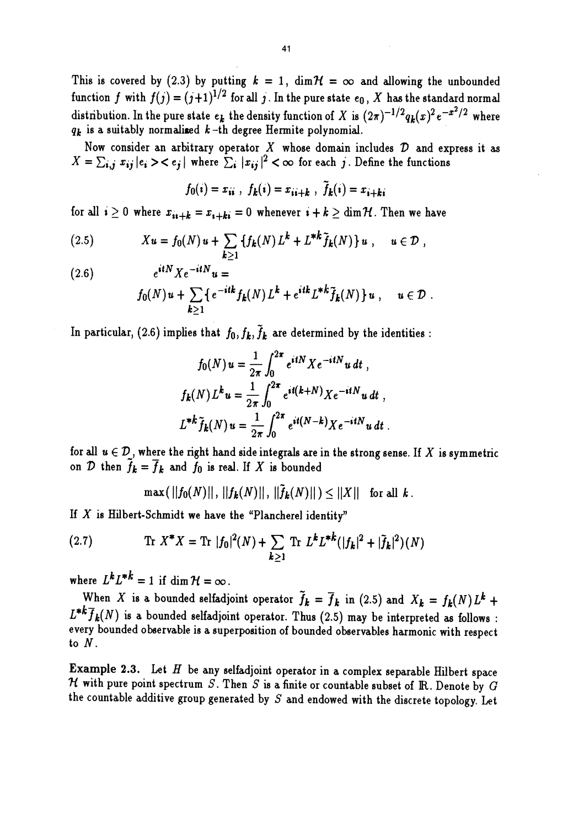This is covered by (2.3) by putting  $k = 1$ ,  $\dim \mathcal{H} = \infty$  and allowing the unbounded function f with  $f(j) = (j+1)^{1/2}$  for all j. In the pure state  $e_0$ , X has the standard normal distribution. In the pure state  $e_k$  the density function of X is  $(2\pi)^{-1/2}q_k(x)^2e^{-x^2/2}$  where  $q_k$  is a suitably normalized  $k$ -th degree Hermite polynomial.

Now consider an arbitrary operator  $X$  whose domain includes  $D$  and express it as  $X = \sum_{i,j} x_{ij} |e_i\rangle\langle e_j|$  where  $\sum_{i} |x_{ij}|^2 \langle \infty$  for each j. Define the functions

$$
f_0(i) = x_{ii}
$$
,  $f_k(i) = x_{ii+k}$ ,  $\tilde{f}_k(i) = x_{i+ki}$ 

for all  $i \geq 0$  where  $x_{i i+k} = x_{i+k i} = 0$  whenever  $i + k \geq \dim \mathcal{H}$ . Then we have

(2.5) 
$$
Xu = f_0(N)u + \sum_{k \geq 1} \{f_k(N)L^k + L^{*k}\tilde{f}_k(N)\}u, \quad u \in \mathcal{D},
$$

(2.6)  $e^{itN} X e^{-itN} u =$ 

$$
f_0(N)u + \sum_{k\geq 1} \{e^{-itk} f_k(N) L^k + e^{itk} L^{*k} \tilde{f}_k(N)\} u, \quad u \in \mathcal{D}.
$$

In particular, (2.6) implies that  $f_0, f_k, \tilde{f}_k$  are determined by the identities :

$$
f_0(N) u = \frac{1}{2\pi} \int_0^{2\pi} e^{itN} X e^{-itN} u dt ,
$$
  

$$
f_k(N) L^k u = \frac{1}{2\pi} \int_0^{2\pi} e^{it(k+N)} X e^{-itN} u dt ,
$$
  

$$
L^{*k} \tilde{f}_k(N) u = \frac{1}{2\pi} \int_0^{2\pi} e^{it(N-k)} X e^{-itN} u dt .
$$

for all  $u \in \mathcal{D}$ , where the right hand side integrals are in the strong sense. If X is symmetric on  $\mathcal{D}$  then  $\tilde{f}_k = \overline{f}_k$  and  $f_0$  is real. If X is bounded

 $\max(||f_0(N)||, ||f_k(N)||, ||\tilde{f}_k(N)||) \leq ||X||$  for all k.

If X is Hilbert-Schmidt we have the "Plancherel identity"  
\n(2.7) Tr 
$$
X^*X = \text{Tr } |f_0|^2(N) + \sum_{k \ge 1} \text{Tr } L^k L^{*k} (|f_k|^2 + |\tilde{f}_k|^2)(N)
$$

where  $L^k L^{*k} = 1$  if dim  $\mathcal{H} = \infty$ .

When X is a bounded selfadjoint operator  $\tilde{f}_k = \overline{f}_k$  in (2.5) and  $X_k = f_k(N) L^k +$  $L^{*k} \overline{f}_k(N)$  is a bounded selfadjoint operator. Thus (2.5) may be interpreted as follows: every bounded observable is a superposition of bounded observables harmonic with respect to  $N$ .

**Example 2.3.** Let H be any selfadjoint operator in a complex separable Hilbert space  $\mathcal{H}$  with pure point spectrum S. Then S is a finite or countable subset of R. Denote by G the countable additive group generated by  $S$  and endowed with the discrete topology. Let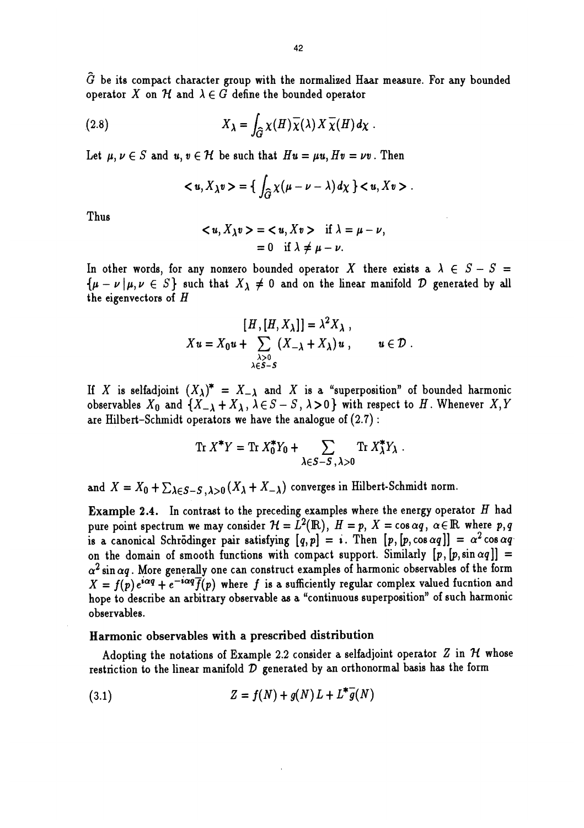$\tilde{G}$  be its compact character group with the normalized Haar measure. For any bounded operator X on H and  $\lambda \in G$  define the bounded operator

(2.8) 
$$
X_{\lambda} = \int_{\widehat{G}} \chi(H) \overline{\chi}(\lambda) X \overline{\chi}(H) d\chi.
$$

Let  $\mu, \nu \in S$  and  $u, v \in \mathcal{H}$  be such that  $Hu = \mu u, Hv = \nu v$ . Then

$$
\langle u, X_{\lambda} v \rangle = \left\{ \int_{\widehat{G}} \chi(\mu - \nu - \lambda) d\chi \right\} \langle u, Xv \rangle.
$$

Thus **The Executive Contract Contract Contract Contract Contract Contract Contract Contract Contract Contract Contract Contract Contract Contract Contract Contract Contract Contract Contract Contract Contract Contract Cont** 

$$
\langle u, X_{\lambda} v \rangle = \langle u, Xv \rangle \quad \text{if } \lambda = \mu - \nu,
$$
  
= 0 if  $\lambda \neq \mu - \nu$ .

In other words, for any nonzero bounded operator X there exists a  $\lambda \in S - S =$  ${\mu-\nu|\mu,\nu\in S}$  such that  $X_{\lambda}\neq 0$  and on the linear manifold  $\mathcal D$  generated by all the eigenvectors of H

$$
[H,[H,X_{\lambda}]] = \lambda^2 X_{\lambda},
$$
  

$$
Xu = X_0 u + \sum_{\substack{\lambda > 0 \\ \lambda \in S - S}} (X_{-\lambda} + X_{\lambda}) u, \qquad u \in \mathcal{D}.
$$

If X is selfadjoint  $(X_{\lambda})^* = X_{-\lambda}$  and X is a "superposition" of bounded harmonic observables  $X_0$  and  $\{X_{- \lambda} + X_{\lambda}, \lambda \in S - S, \lambda > 0\}$  with respect to H. Whenever  $X, Y$ are Hilbert-Schmidt operators we have the analogue of  $(2.7)$ :

$$
\operatorname{Tr} X^* Y = \operatorname{Tr} X_0^* Y_0 + \sum_{\lambda \in S - S, \lambda > 0} \operatorname{Tr} X_\lambda^* Y_\lambda.
$$

and  $X = X_0 + \sum_{\lambda \in S-S} \lambda > 0$   $(X_{\lambda} + X_{-\lambda})$  converges in Hilbert-Schmidt norm.

**Example 2.4.** In contrast to the preceding examples where the energy operator  $H$  had pure point spectrum we may consider  $\mathcal{H} = L^2(\mathbb{R})$ ,  $H = p$ ,  $X = \cos \alpha q$ ,  $\alpha \in \mathbb{R}$  where p, q is a canonical Schrödinger pair satisfying  $[q, p] = i$ . Then  $[p, [p, \cos \alpha q]] = \alpha^2 \cos \alpha q$ on the domain of smooth functions with compact support. Similarly  $[p, [p, \sin \alpha q]] =$  $\alpha^2$  sin  $\alpha q$ . More generally one can construct examples of harmonic observables of the form  $X = f(p) e^{i\alpha q} + e^{-i\alpha q} \overline{f}(p)$  where f is a sufficiently regular complex valued fucntion and hope to describe an arbitrary observable as a "continuous superposition" of such harmonic observables.

#### Harmonic observables with a prescribed distribution

Adopting the notations of Example 2.2 consider a selfadjoint operator  $Z$  in  $H$  whose restriction to the linear manifold  $D$  generated by an orthonormal basis has the form

(3.1) 
$$
Z = f(N) + g(N) L + L^* \overline{g}(N)
$$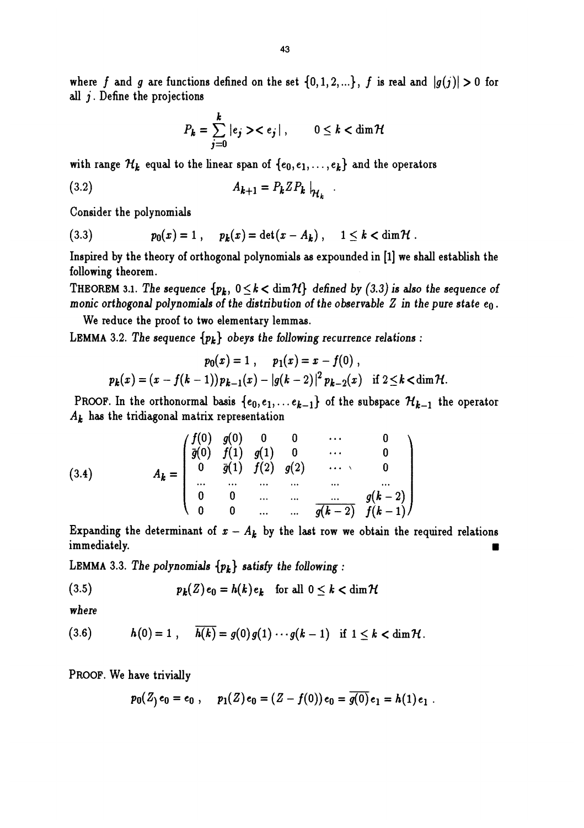where f and g are functions defined on the set  $\{0,1,2,...\}$ , f is real and  $|g(j)| > 0$  for all  $j$ . Define the projections

$$
P_k = \sum_{j=0}^k |e_j\rangle\langle e_j|, \qquad 0 \le k < \dim \mathcal{H}
$$

with range  $\mathcal{H}_k$  equal to the linear span of  $\{e_0, e_1, \ldots, e_k\}$  and the operators

$$
(3.2) \t A_{k+1} = P_k Z P_k \big|_{\mathcal{H}_k}
$$

Consider the polynomials

(3.3) 
$$
p_0(x) = 1
$$
,  $p_k(x) = \det(x - A_k)$ ,  $1 \le k < \dim \mathcal{H}$ .

Inspired by the theory of orthogonal polynomials as expounded in [1] we shall establish the following theorem.

THEOREM 3.1. The sequence  $\{p_k, 0 \le k < \dim \mathcal{H}\}\$  defined by (3.3) is also the sequence of monic orthogonal polynomials of the distribution of the observable  $Z$  in the pure state  $e_0$ .

We reduce the proof to two elementary lemmas.

LEMMA 3.2. The sequence  $\{p_k\}$  obeys the following recurrence relations :

$$
p_0(x) = 1, \quad p_1(x) = x - f(0),
$$
  

$$
p_k(x) = (x - f(k-1))p_{k-1}(x) - |g(k-2)|^2 p_{k-2}(x) \quad \text{if } 2 \le k < \dim \mathcal{H}.
$$

PROOF. In the orthonormal basis  $\{e_0, e_1, \ldots e_{k-1}\}$  of the subspace  $\mathcal{H}_{k-1}$  the operator  $A_k$  has the tridiagonal matrix representation

(3.4) 
$$
A_{k} = \begin{pmatrix} f(0) & g(0) & 0 & 0 & \cdots & 0 \\ \overline{g}(0) & f(1) & g(1) & 0 & \cdots & 0 \\ 0 & \overline{g}(1) & f(2) & g(2) & \cdots & 0 \\ \cdots & \cdots & \cdots & \cdots & \cdots & \cdots \\ 0 & 0 & \cdots & \cdots & \overline{g(k-2)} & f(k-1) \end{pmatrix}
$$

Expanding the determinant of  $x - A_k$  by the last row we obtain the required relations Expanding the determinant of  $x - A_k$  by the last row we obtain the required relations<br>immediately.

LEMMA 3.3. The polynomials  $\{p_k\}$  satisfy the following :

(3.5) 
$$
p_k(Z)e_0 = h(k)e_k \text{ for all } 0 \leq k < \dim \mathcal{H}
$$

where

(3.6) 
$$
h(0) = 1
$$
,  $\overline{h(k)} = g(0)g(1) \cdots g(k-1)$  if  $1 \le k < \dim \mathcal{H}$ .

PROOF. We have trivially

$$
p_0(Z) e_0 = e_0
$$
,  $p_1(Z) e_0 = (Z - f(0)) e_0 = \overline{g(0)} e_1 = h(1) e_1$ .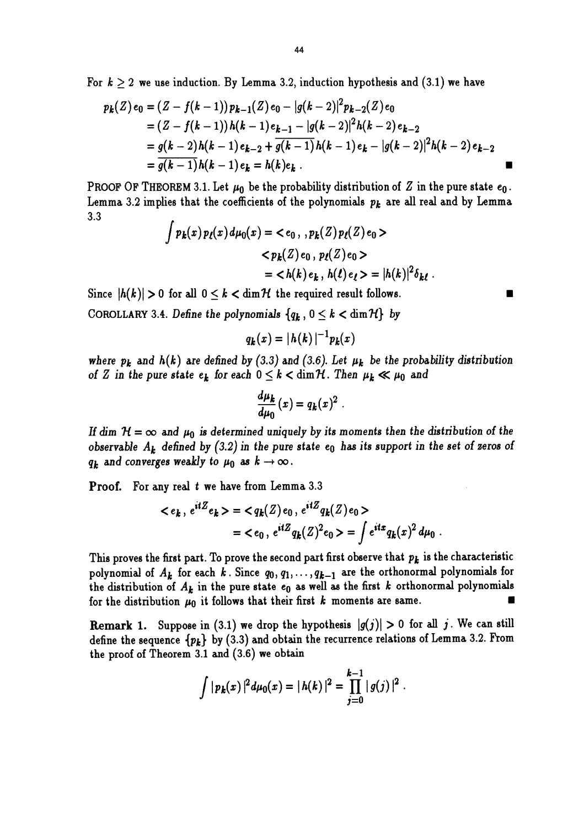For  $k \geq 2$  we use induction. By Lemma 3.2, induction hypothesis and (3.1) we have

$$
k \ge 2
$$
 we use induction. By Lemma 3.2, induction hypothesis and (3.1) we have  
\n
$$
p_k(Z)e_0 = (Z - f(k-1))p_{k-1}(Z)e_0 - |g(k-2)|^2p_{k-2}(Z)e_0
$$
\n
$$
= (Z - f(k-1))h(k-1)e_{k-1} - |g(k-2)|^2h(k-2)e_{k-2}
$$
\n
$$
= g(k-2)h(k-1)e_{k-2} + \frac{g(k-1)}{g(k-1)}h(k-1)e_k - |g(k-2)|^2h(k-2)e_{k-2}
$$
\n
$$
= \frac{g(k-1)}{g(k-1)}h(k-1)e_k = h(k)e_k.
$$
\nOOF OF THEOREM 3.1. Let  $\mu_0$  be the probability distribution of Z in the pure state  $e_0$ .  
\n $\mu_0$  and 3.2 implies that the coefficients of the polynomials  $p_k$  are all real and by Lemma

PROOF OF THEOREM 3.1. Let  $\mu_0$  be the probability distribution of  $Z$  in the pure state  $e_0$ . Lemma 3.2 implies that the coefficients of the polynomials  $p_k$  are all real and by Lemma 3.3

$$
\int p_k(x) p_l(x) d\mu_0(x) = \langle e_0, , p_k(Z) p_l(Z) e_0 \rangle
$$
  

$$
\langle p_k(Z) e_0, p_l(Z) e_0 \rangle
$$
  

$$
= \langle h(k) e_k, h(\ell) e_\ell \rangle = |h(k)|^2 \delta_{k\ell}.
$$

Since  $|h(k)| > 0$  for all  $0 \le k < \dim \mathcal{H}$  the required result follows.

COROLLARY 3.4. Define the polynomials  ${q_k, 0 \le k < \dim H}$  by

$$
q_k(x) = |h(k)|^{-1} p_k(x)
$$

where  $p_k$  and  $h(k)$  are defined by (3.3) and (3.6). Let  $\mu_k$  be the probability distribution of Z in the pure state  $e_k$  for each  $0 \le k < \dim \mathcal{H}$ . Then  $\mu_k \ll \mu_0$  and

$$
\frac{d\mu_k}{d\mu_0}(x)=q_k(x)^2.
$$

If dim  $H = \infty$  and  $\mu_0$  is determined uniquely by its moments then the distribution of the observable  $A_k$  defined by (3.2) in the pure state  $e_0$  has its support in the set of zeros of  $q_k$  and converges weakly to  $\mu_0$  as  $k \to \infty$ .

Proof. For any real t we have from Lemma 3.3

$$
\langle e_k, e^{itZ} e_k \rangle = \langle q_k(Z) e_0, e^{itZ} q_k(Z) e_0 \rangle
$$
  
=  $\langle e_0, e^{itZ} q_k(Z)^2 e_0 \rangle = \int e^{itx} q_k(x)^2 d\mu_0$ .

This proves the first part. To prove the second part first observe that  $p_k$  is the characteristic polynomial of  $A_k$  for each k. Since  $q_0, q_1, \ldots, q_{k-1}$  are the orthonormal polynomials for the distribution of  $A_k$  in the pure state  $e_0$  as well as the first k orthonormal polynomials for the distribution  $\mu_0$  it follows that their first k moments are same.

**Remark 1.** Suppose in (3.1) we drop the hypothesis  $|g(j)| > 0$  for all j. We can still define the sequence  $\{p_k\}$  by (3.3) and obtain the recurrence relations of Lemma 3.2. From the proof of Theorem 3.1 and (3.6) we obtain

$$
\int |p_k(x)|^2 d\mu_0(x) = |h(k)|^2 = \prod_{j=0}^{k-1} |g(j)|^2.
$$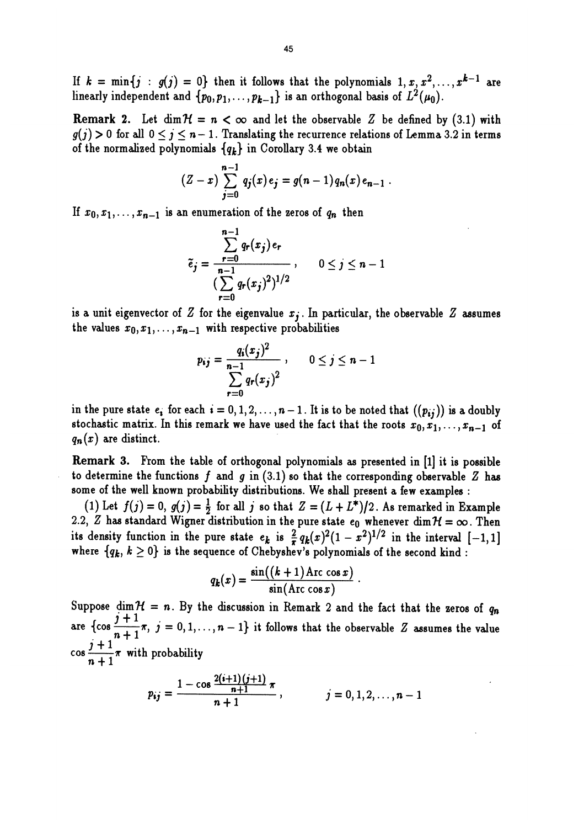If  $k = \min\{j : g(j) = 0\}$  then it follows that the polynomials  $1, x, x^2, \ldots, x^{k-1}$  are linearly independent and  $\{p_0, p_1, \ldots, p_{k-1}\}$  is an orthogonal basis of  $L^2(\mu_0)$ .

**Remark 2.** Let  $\dim \mathcal{H} = n < \infty$  and let the observable Z be defined by (3.1) with  $g(j) > 0$  for all  $0 \le j \le n - 1$ . Translating the recurrence relations of Lemma 3.2 in terms of the normalized polynomials  ${q_k}$  in Corollary 3.4 we obtain

$$
(Z-x)\sum_{j=0}^{n-1}q_j(x)e_j=g(n-1)q_n(x)e_{n-1}.
$$

If  $x_0, x_1, \ldots, x_{n-1}$  is an enumeration of the zeros of  $q_n$  then

$$
\tilde{e}_j = \frac{\sum\limits_{r=0}^{n-1} q_r(x_j) e_r}{(\sum\limits_{r=0}^{n-1} q_r(x_j)^2)^{1/2}}, \qquad 0 \le j \le n-1
$$

is a unit eigenvector of Z for the eigenvalue  $x_j$ . In particular, the observable Z assumes the values  $x_0, x_1, \ldots, x_{n-1}$  with respective probabilities

$$
p_{ij} = \frac{q_i(x_j)^2}{\sum_{r=0}^{n-1} q_r(x_j)^2}, \qquad 0 \le j \le n-1
$$

in the pure state  $e_i$  for each  $i = 0, 1, 2, ..., n - 1$ . It is to be noted that  $((p_{ij}))$  is a doubly stochastic matrix. In this remark we have used the fact that the roots  $x_0, x_1, \ldots, x_{n-1}$  of  $q_n(x)$  are distinct.

Remark 3. From the table of orthogonal polynomials as presented in [1] it is possible to determine the functions f and g in  $(3.1)$  so that the corresponding observable Z has some of the well known probability distributions. We shall present a few examples :

(1) Let  $f(j) = 0$ ,  $g(j) = \frac{1}{2}$  for all j so that  $Z = (L + L^*)/2$ . As remarked in Example 2.2,  $Z$  has standard Wigner distribution in the pure state  $e_0$  whenever  $\dim \mathcal{H} = \infty$  . Then its density function in the pure state  $e_k$  is  $\frac{2}{\pi} q_k(x)^2(1-x^2)^{1/2}$  in the interval  $[-1,1]$ where  $\{q_k, k \geq 0\}$  is the sequence of Chebyshev's polynomials of the second kind :

$$
q_k(x) = \frac{\sin((k+1)\mathrm{Arc}\cos x)}{\sin(\mathrm{Arc}\cos x)}.
$$

Suppose dim  $H = n$ . By the discussion in Remark 2 and the fact that the zeros of  $q_n$ are  $\{\cos \frac{j+1}{n+1}\pi,~j=0,1,\ldots,n-1\}$  it follows that the observable Z assumes the value  $\cos \frac{j+1}{n+1} \pi$  with probability

$$
p_{ij} = \frac{1 - \cos \frac{2(i+1)(j+1)}{n+1} \pi}{n+1}, \qquad j = 0, 1, 2, \ldots, n-1
$$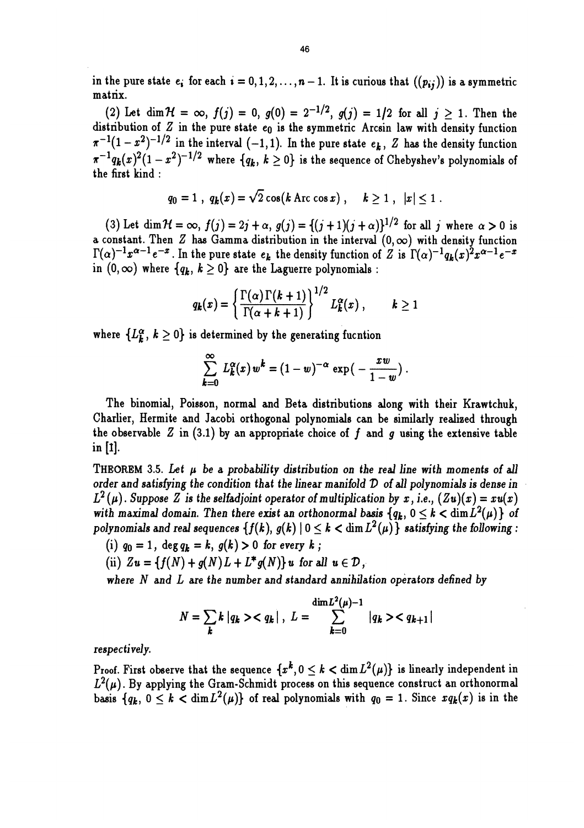in the pure state  $e_i$  for each  $i = 0, 1, 2, ..., n - 1$ . It is curious that  $((p_{ij}))$  is a symmetric matrix.

(2) Let dim  $\mathcal{H} = \infty$ ,  $f(j) = 0$ ,  $g(0) = 2^{-1/2}$ ,  $g(j) = 1/2$  for all  $j \ge 1$ . Then the distribution of  $Z$  in the pure state  $e_0$  is the symmetric Arcsin law with density function  $\pi^{-1}(1-x^2)^{-1/2}$  in the interval  $(-1,1)$ . In the pure state  $e_k$ , Z has the density function  $\pi^{-1}q_k(x)^2(1-x^2)^{-1/2}$  where  ${q_k, k \ge 0}$  is the sequence of Chebyshev's polynomials of the first kind ; :

$$
q_0 = 1
$$
,  $q_k(x) = \sqrt{2} \cos(k \text{ Arc} \cos x)$ ,  $k \ge 1$ ,  $|x| \le 1$ .

(3) Let  $\dim \mathcal{H} = \infty$ ,  $f(j) = 2j + \alpha$ ,  $g(j) = \{(j+1)(j+\alpha)\}^{1/2}$  for all j where  $\alpha > 0$  is a constant. Then Z has Gamma distribution in the interval (0, oo) with density function  $\Gamma(\alpha)^{-1}x^{\alpha-1}e^{-x}$ . In the pure state  $e_k$  the density function of Z is  $\Gamma(\alpha)^{-1}q_k(x)^2x^{\alpha-1}e^{-x}$ in  $(0, \infty)$  where  $\{q_k, k \geq 0\}$  are the Laguerre polynomials :

$$
q_k(x) = \left\{ \frac{\Gamma(\alpha) \Gamma(k+1)}{\Gamma(\alpha+k+1)} \right\}^{1/2} L_k^{\alpha}(x), \qquad k \geq 1
$$

where  ${L_{\mathbf{k}}^{\alpha}}$ ,  $k \geq 0$  is determined by the generating fucntion

$$
\sum_{k=0}^{\infty} L_k^{\alpha}(x) w^k = (1-w)^{-\alpha} \exp\big(-\frac{xw}{1-w}\big).
$$

The binomial, Poisson, normal and Beta distributions along with their Krawtchuk, the observable Z in (3.1) by an appropriate choice of f and g using the extensive table in [1].

THEOREM 3.5. Let  $\mu$  be a probability distribution on the real line with moments of all order and satisfying the condition that the linear manifold  $D$  of all polynomials is dense in  $L^2(\mu)$ . Suppose Z is the selfadjoint operator of multiplication by x, i.e.,  $(Zu)(x) = xu(x)$ with maximal domain. Then there exist an orthonormal basis  ${q_k, 0 \le k < \dim L^2(\mu)}$  of polynomials and real sequences  $\{f(k), g(k) | 0 \le k < \dim L^2(\mu)\}\$  satisfying the following:

- (i)  $q_0 = 1$ ,  $\deg q_k = k$ ,  $g(k) > 0$  for every k;
- (ii)  $Zu = \{f(N) + g(N)L + L^*g(N)\}\,u$  for all  $u \in \mathcal{D}$ ,

where N and L are the number and standard annihilation operators defined by

$$
N = \sum_{k} k |q_{k}\rangle < q_{k}|, L = \sum_{k=0}^{\dim L^{2}(\mu)-1} |q_{k}\rangle < q_{k+1}|
$$

respectively.

Proof. First observe that the sequence  $\{x^k, 0 \le k < \dim L^2(\mu)\}$  is linearly independent in  $L^2(\mu)$ . By applying the Gram-Schmidt process on this sequence construct an orthonormal basis  $\{q_k, 0 \le k < \dim L^2(\mu)\}\$  of real polynomials with  $q_0 = 1$ . Since  $x q_k(x)$  is in the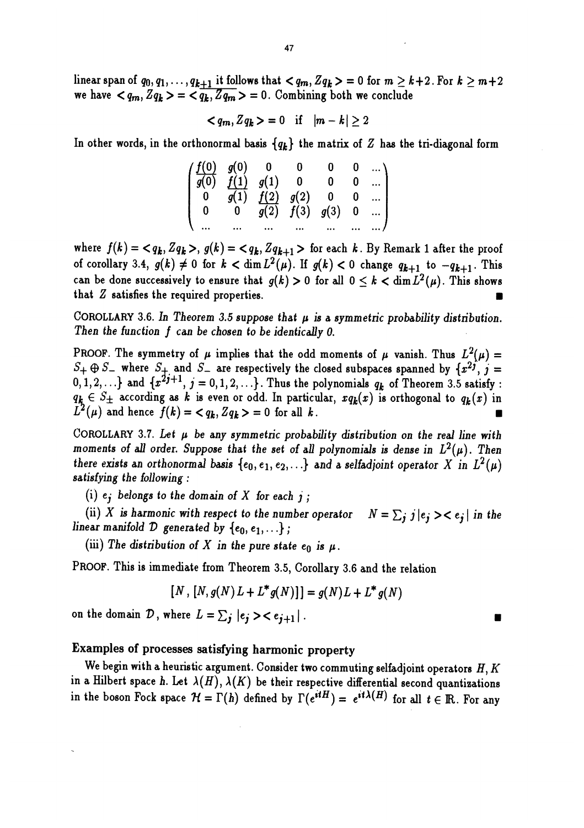linear span of  $q_0, q_1, \ldots, q_{k+1}$  it follows that  $\langle q_m, Zq_k \rangle = 0$  for  $m \geq k+2$ . For  $k \geq m+2$ we have  $\langle q_m, Zq_k \rangle = \langle q_k, Zq_m \rangle = 0$ . Combining both we conclude

$$
\langle q_m, Z q_k \rangle = 0 \quad \text{if} \quad |m-k| \geq 2
$$

In other words, in the orthonormal basis  $\{q_k\}$  the matrix of Z has the tri-diagonal form

| $\begin{pmatrix} \frac{f(0)}{g(0)} & \frac{g(0)}{f(1)} & 0 & 0 & 0 & 0 & \dots \\ \frac{f(0)}{g(0)} & \frac{f(1)}{g(1)} & g(1) & 0 & 0 & 0 & \dots \end{pmatrix}$ |                                                                                                                                           |                          |  |                            |
|-------------------------------------------------------------------------------------------------------------------------------------------------------------------|-------------------------------------------------------------------------------------------------------------------------------------------|--------------------------|--|----------------------------|
|                                                                                                                                                                   |                                                                                                                                           |                          |  |                            |
| $\mathbf{0}$                                                                                                                                                      | $\begin{bmatrix} \overline{g(1)} & \overline{f(2)} & g(2) & 0 & 0 & \dots \\ 0 & \overline{g(2)} & f(3) & g(3) & 0 & \dots \end{bmatrix}$ |                          |  |                            |
|                                                                                                                                                                   |                                                                                                                                           | <b>Contract Contract</b> |  | $\ldots$ $\ldots$ $\ldots$ |

where  $f(k) = \langle q_k, Zq_k \rangle, g(k) = \langle q_k, Zq_{k+1} \rangle$  for each k. By Remark 1 after the proof of corollary 3.4,  $g(k) \neq 0$  for  $k < \dim L^2(\mu)$ . If  $g(k) < 0$  change  $q_{k+1}$  to  $-q_{k+1}$ . This can be done successively to ensure that  $g(k) > 0$  for all  $0 \le k < \dim L^2(\mu)$ . This shows that Z satisfies the required properties. where  $f(k) = \langle q_k, Zq_k \rangle$ ,  $g(k) = \langle q_k, Zq_{k+1} \rangle$  for each k. By Remark 1 after th<br>of corollary 3.4,  $g(k) \neq 0$  for  $k < \dim L^2(\mu)$ . If  $g(k) < 0$  change  $q_{k+1}$  to  $-q_{k+1}$ <br>can be done successively to ensure that  $g(k) > 0$  for all

COROLLARY 3.6. In Theorem 3.5 suppose that  $\mu$  is a symmetric probability distribution.<br>Then the function  $f$  can be chosen to be identically 0.

PROOF. The symmetry of  $\mu$  implies that the odd moments of  $\mu$  vanish. Thus  $L^2(\mu)$  =  $S_+ \oplus S_-$  where  $S_+$  and  $S_-$  are respectively the closed subspaces spanned by  $\{x^{2j}, j = 0, 1, 2, \ldots\}$  and  $\{x^{2j+1}, j = 0, 1, 2, \ldots\}$ . Thus the polynomials  $q_k$  of Theorem 3.5 satisfy :  $q_k \in S_{\pm}$  according as k is even or odd. In particular,  $xq_k(x)$  is orthogonal to  $q_k(x)$  in  $L^2(\mu)$  and hence  $f(k) = \langle q_k, Zq_k \rangle = 0$  for all k.  $S_+ \oplus S_-$  where  $S_+$  and  $S_-$  are respectively the closed subspaces spanned by  $\{x^{2j}\}$ ,  $j = 0, 1, 2, \ldots\}$  and  $\{x^{2j+1}, j = 0, 1, 2, \ldots\}$ . Thus the polynomials  $q_k$  of Theorem 3.5 satisfy  $q_k \in S_+$  according as  $k$ 

COROLLARY 3.7. Let  $\mu$  be any symmetric probability distribution on the real line with moments of all order. Suppose that the set of all polynomials is dense in  $L^{2}(\mu)$ . Then there exists an orthonormal basis  $\{e_0, e_1, e_2, ...\}$  and a selfadjoint operator X in  $L^2(\mu)$ satisfying the following :

(i)  $e$ ; belongs to the domain of X for each j;

linear manifold  ${\cal D}$  generated by  $\{e_0, e_1, \ldots\}$  ; (ii) X is harmonic with respect to the number operator  $N = \sum_j j |e_j\rangle < e_j|$  in the

(iii) The distribution of X in the pure state  $e_0$  is  $\mu$ .

PROOF. This is immediate from Theorem 3.5, Corollary 3.6 and the relation

$$
[N,[N,g(N)L+L^*g(N)]] = g(N)L+L^*g(N)
$$

on the domain  $D$ , where  $L = \sum_j |e_j\rangle\langle e_{j+1}|$ .

## Examples of processes satisfying harmonic property

We begin with a heuristic argument. Consider two commuting selfadjoint operators  $H, K$ in a Hilbert space h. Let  $\lambda(H)$ ,  $\lambda(K)$  be their respective differential second quantizations in the boson Fock space  $\mathcal{H} = \Gamma(h)$  defined by  $\Gamma(e^{itH}) = e^{it\lambda(H)}$  for all  $t \in \mathbb{R}$ . For any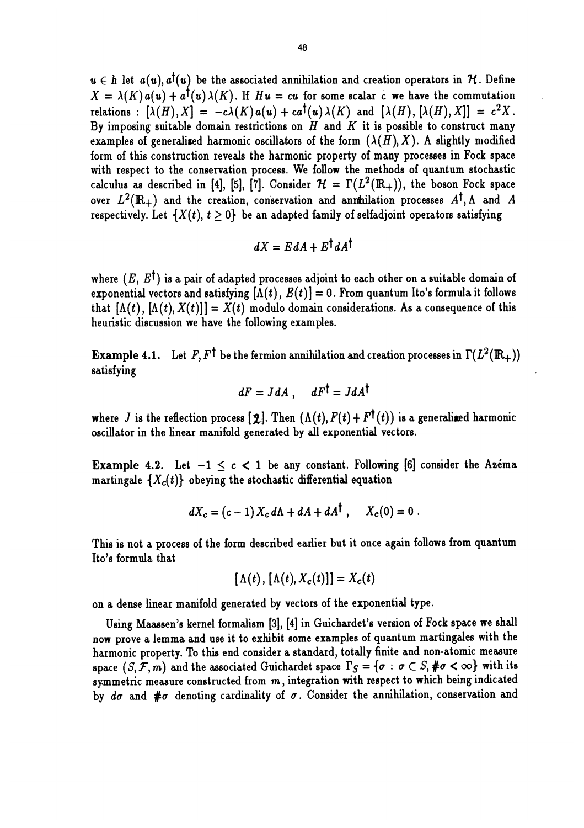$u \in h$  let  $a(u), a'(u)$  be the associated annihilation and creation operators in H. Define  $X = \lambda(K)a(u) + a^{\dagger}(u)\lambda(K)$ . If  $Hu = cu$  for some scalar c we have the commutation relations :  $[\lambda(H), X] = -c\lambda(K) a(u) + ca^{\dagger}(u) \lambda(K)$  and  $[\lambda(H), [\lambda(H), X]] = c^2X$ . By imposing suitable domain restrictions on  $H$  and  $K$  it is possible to construct many examples of generalized harmonic oscillators of the form  $(\lambda(H), X)$ . A slightly modified form of this construction reveals the harmonic property of many processes in Fock space with respect to the conservation process. We follow the methods of quantum stochastic calculus as described in [4], [5], [7]. Consider  $\mathcal{H} = \Gamma(L^2(\mathbb{R}_+))$ , the boson Fock space over  $L^2(\mathbb{R}_+)$  and the creation, conservation and annihilation processes  $A^{\dagger}$ , A and A respectively. Let  ${X(t), t > 0}$  be an adapted family of selfadjoint operators satisfying

$$
dX = EdA + E^{\dagger} dA^{\dagger}
$$

where  $(E, E^{\dagger})$  is a pair of adapted processes adjoint to each other on a suitable domain of exponential vectors and satisfying  $[\Lambda(t), E(t)] = 0$ . From quantum Ito's formula it follows that  $[\Lambda(t), [\Lambda(t), X(t)]] = X(t)$  modulo domain considerations. As a consequence of this heuristic discussion we have the following examples.

**Example 4.1.** Let F, F<sup>†</sup> be the fermion annihilation and creation processes in  $\Gamma(L^2(\mathbb{R}_+))$ satisfying  $\sim$  . The same statistical statistical statistical statistical statistical statistical statistical statistical statistical statistical statistical statistical statistical statistical statistical statistical st

$$
dF = JdA, \quad dF^{\dagger} = JdA^{\dagger}
$$

where J is the reflection process  $[2]$ . Then  $(\Lambda(t), F(t) + F^{\dagger}(t))$  is a generalized harmonic oscillator in the linear manifold generated by all exponential vectors.

**Example 4.2.** Let  $-1 < c < 1$  be any constant. Following [6] consider the Azema martingale  $\{X_c(t)\}$  obeying the stochastic differential equation

$$
dX_c = (c-1) X_c d\Lambda + dA + dA^{\dagger} , \quad X_c(0) = 0 .
$$

This is not a process of the form described earlier but it once again follows from quantum Ito's formula that

$$
[\Lambda(t), [\Lambda(t), X_c(t)]] = X_c(t)
$$

on a dense linear manifold generated by vectors of the exponential type.

Using Maassen's kernel formalism [3], [4] in Guichardet's version of Fock space we shall now prove a lemma and use it to exhibit some examples of quantum martingales with the harmonic property. To this end consider a standard, totally finite and non-atomic measure space  $(S, \mathcal{F}, m)$  and the associated Guichardet space  $\Gamma_S = \{\sigma : \sigma \subset S, \#\sigma < \infty\}$  with its symmetric measure constructed from  $m$ , integration with respect to which being indicated by do and  $# \sigma$  denoting cardinality of  $\sigma$ . Consider the annihilation, conservation and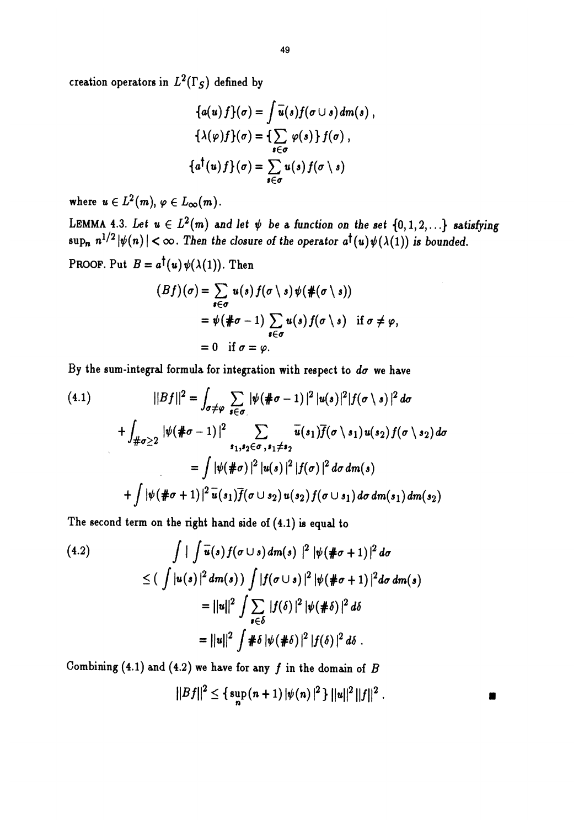creation operators in  $L^2(\Gamma_S)$  defined by

$$
\{a(u) f\}(\sigma) = \int \overline{u}(s) f(\sigma \cup s) dm(s) ,
$$
  

$$
\{\lambda(\varphi) f\}(\sigma) = \{\sum_{s \in \sigma} \varphi(s) \} f(\sigma) ,
$$
  

$$
\{a^{\dagger}(u) f\}(\sigma) = \sum_{s \in \sigma} u(s) f(\sigma \setminus s)
$$

where  $u \in L^2(m), \varphi \in L_\infty(m)$ .

LEMMA 4.3. Let  $u \in L^2(m)$  and let  $\psi$  be a function on the set  $\{0,1,2,...\}$  satisfying  $\sup_n n^{1/2} |\psi(n)| < \infty$ . Then the closure of the operator  $a^{\dagger}(u) \psi(\lambda(1))$  is bounded.

PROOF. Put  $B = a^{\dagger}(u) \psi(\lambda(1))$ . Then

$$
(Bf)(\sigma) = \sum_{s \in \sigma} u(s) f(\sigma \setminus s) \psi(\#(\sigma \setminus s))
$$
  
=  $\psi(\# \sigma - 1) \sum_{s \in \sigma} u(s) f(\sigma \setminus s)$  if  $\sigma \neq \varphi$ ,  
= 0 if  $\sigma = \varphi$ .

By the sum-integral formula for integration with respect to  $d\sigma$  we have

$$
(4.1) \qquad ||Bf||^2 = \int_{\sigma \neq \varphi} \sum_{s \in \sigma} |\psi(\# \sigma - 1)|^2 |u(s)|^2 |f(\sigma \setminus s)|^2 d\sigma
$$
  
+ 
$$
\int_{\# \sigma \geq 2} |\psi(\# \sigma - 1)|^2 \sum_{s_1, s_2 \in \sigma, s_1 \neq s_2} \overline{u}(s_1) \overline{f}(\sigma \setminus s_1) u(s_2) f(\sigma \setminus s_2) d\sigma
$$
  
= 
$$
\int |\psi(\# \sigma)|^2 |u(s)|^2 |f(\sigma)|^2 d\sigma dm(s)
$$
  
+ 
$$
\int |\psi(\# \sigma + 1)|^2 \overline{u}(s_1) \overline{f}(\sigma \cup s_2) u(s_2) f(\sigma \cup s_1) d\sigma dm(s_1) dm(s_2)
$$

The second term on the right hand side of (4.1) is equal to

(4.2)  
\n
$$
\int | \int \overline{u}(s) f(\sigma \cup s) dm(s) |^{2} |\psi(\# \sigma + 1)|^{2} d\sigma
$$
\n
$$
\leq (\int |u(s)|^{2} dm(s)) \int |f(\sigma \cup s)|^{2} |\psi(\# \sigma + 1)|^{2} d\sigma dm(s)
$$
\n
$$
= ||u||^{2} \int \sum_{s \in \delta} |f(\delta)|^{2} |\psi(\# \delta)|^{2} d\delta
$$
\n
$$
= ||u||^{2} \int \# \delta |\psi(\# \delta)|^{2} |f(\delta)|^{2} d\delta.
$$

Combining (4.1) and (4.2) we have for any f in the domain of  $B$ 

$$
||Bf||^2 \leq {\sup_n (n+1) |\psi(n)|^2 } ||u||^2 ||f||^2 .
$$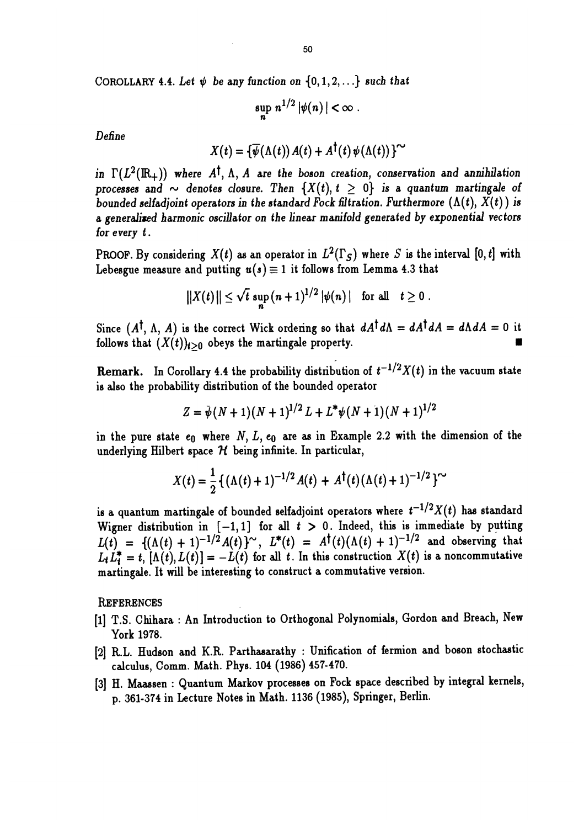COROLLARY 4.4. Let  $\psi$  be any function on  $\{0,1,2,...\}$  such that

$$
\sup_n n^{1/2} |\psi(n)| < \infty.
$$

Define

$$
X(t) = {\overline{\psi}(\Lambda(t)) A(t) + A^{\dagger}(t) \psi(\Lambda(t)) }^{\sim}
$$

in  $\Gamma(L^2(\mathbb{R}_+))$  where A<sup>t</sup>, A, A are the boson creation, conservation and annihilation processes and  $\sim$  denotes closure. Then  $\{X(t), t \geq 0\}$  is a quantum martingale of bounded selfadioint operators in the standard Fock filtration. Furthermore  $(\Lambda(t), X(t))$  is a generaliaed harmonic oscillator on the linear manifold generated by exponential vectors for every t .

PROOF. By considering  $X(t)$  as an operator in  $L^2(\Gamma_S)$  where S is the interval [0, t] with Lebesgue measure and putting  $u(s) \equiv 1$  it follows from Lemma 4.3 that

$$
||X(t)|| \leq \sqrt{t} \, \sup_n (n+1)^{1/2} |\psi(n)| \quad \text{for all} \quad t \geq 0.
$$

Since  $(A^{\dagger}, \Lambda, A)$  is the correct Wick ordering so that  $dA^{\dagger}d\Lambda = dA^{\dagger}dA = d\Lambda dA = 0$  it follows that  $(X(t))_{t\geq 0}$  obeys the martingale property.

Remark. In Corollary 4.4 the probability distribution of  $t^{-1/2}X(t)$  in the vacuum state is also the probability distribution of the bounded operator

$$
Z = \bar{\psi}(N+1)(N+1)^{1/2}L + L^* \psi(N+1)(N+1)^{1/2}
$$

in the pure state  $e_0$  where  $N, L, e_0$  are as in Example 2.2 with the dimension of the underlying Hilbert space  $H$  being infinite. In particular,

$$
X(t) = \frac{1}{2} \left\{ (\Lambda(t) + 1)^{-1/2} A(t) + A^{\dagger}(t) (\Lambda(t) + 1)^{-1/2} \right\}^{\sim}
$$

is a quantum martingale of bounded selfadjoint operators where  $t^{-1/2}X(t)$  has standard Wigner distribution in  $[-1,1]$  for all  $t > 0$ . Indeed, this is immediate by putting  $L(t) = \{(\Lambda(t) + 1)^{-1/2} A(t)\}^{\sim}$ ,  $L^*(t) = A^{\dagger}(t)(\Lambda(t) + 1)^{-1/2}$  and observing that  $L_t L_t^* = t$ ,  $[\Lambda(t), L(t)] = -\dot{L}(t)$  for all t. In this construction  $X(t)$  is a noncommutative martingale. It will be interesting to construct a commutative version.

**REFERENCES** 

- [1] T.S. Chihara : An Introduction to Orthogonal Polynomials, Gordon and Breach, New York 1978.
- [2] R.L. Hudson and K.R. Parthasarathy : Unification of fermion and boson stochastic calculus, Comm. Math. Phys. 104 (1986) 457-470.
- [3] H. Maassen : Quantum Markov processes on Fock space described by integral kernels, p. 361-374 in Lecture Notes in Math. 1136 (1985), Springer, Berlin.